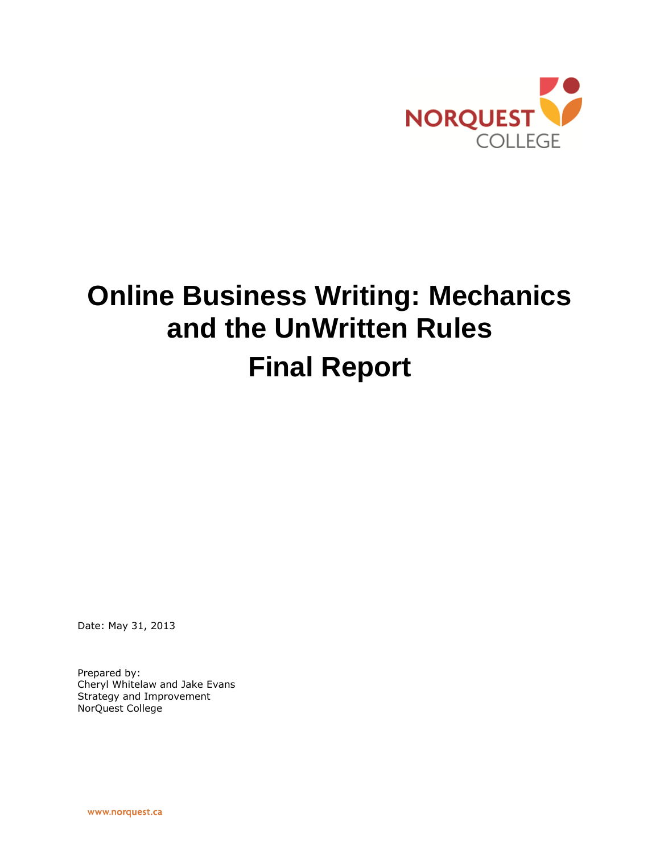

# **Online Business Writing: Mechanics and the UnWritten Rules Final Report**

Date: May 31, 2013

Prepared by: Cheryl Whitelaw and Jake Evans Strategy and Improvement NorQuest College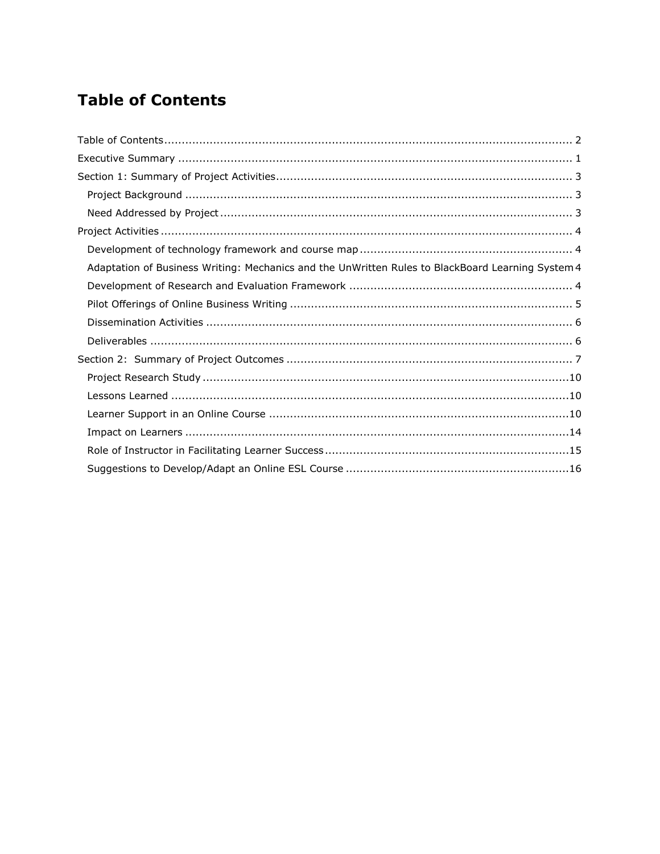# **Table of Contents**

| Adaptation of Business Writing: Mechanics and the UnWritten Rules to BlackBoard Learning System 4 |
|---------------------------------------------------------------------------------------------------|
|                                                                                                   |
|                                                                                                   |
|                                                                                                   |
|                                                                                                   |
|                                                                                                   |
|                                                                                                   |
|                                                                                                   |
|                                                                                                   |
|                                                                                                   |
|                                                                                                   |
|                                                                                                   |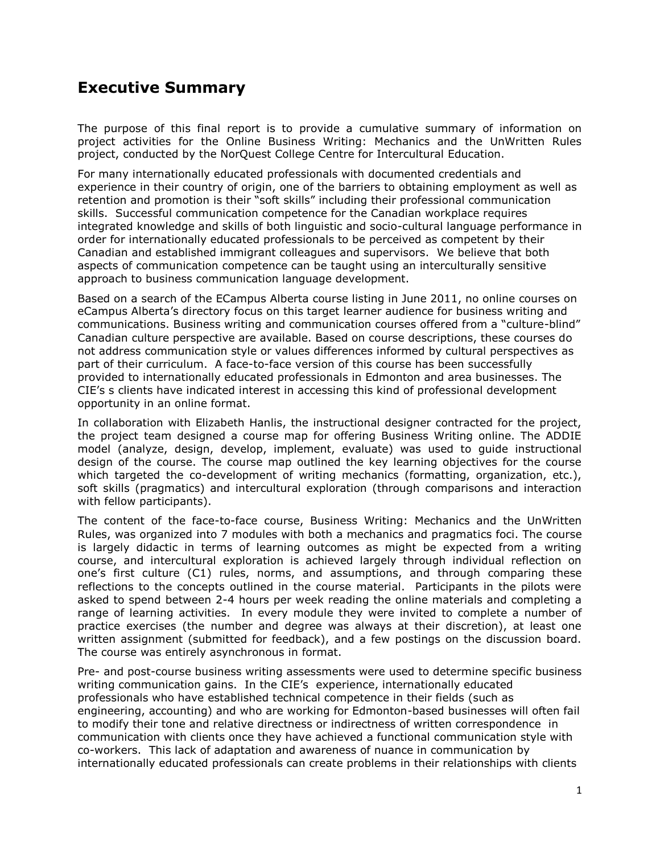# **Executive Summary**

The purpose of this final report is to provide a cumulative summary of information on project activities for the Online Business Writing: Mechanics and the UnWritten Rules project, conducted by the NorQuest College Centre for Intercultural Education.

For many internationally educated professionals with documented credentials and experience in their country of origin, one of the barriers to obtaining employment as well as retention and promotion is their "soft skills" including their professional communication skills. Successful communication competence for the Canadian workplace requires integrated knowledge and skills of both linguistic and socio-cultural language performance in order for internationally educated professionals to be perceived as competent by their Canadian and established immigrant colleagues and supervisors. We believe that both aspects of communication competence can be taught using an interculturally sensitive approach to business communication language development.

Based on a search of the ECampus Alberta course listing in June 2011, no online courses on eCampus Alberta's directory focus on this target learner audience for business writing and communications. Business writing and communication courses offered from a "culture-blind" Canadian culture perspective are available. Based on course descriptions, these courses do not address communication style or values differences informed by cultural perspectives as part of their curriculum. A face-to-face version of this course has been successfully provided to internationally educated professionals in Edmonton and area businesses. The CIE's s clients have indicated interest in accessing this kind of professional development opportunity in an online format.

In collaboration with Elizabeth Hanlis, the instructional designer contracted for the project, the project team designed a course map for offering Business Writing online. The ADDIE model (analyze, design, develop, implement, evaluate) was used to guide instructional design of the course. The course map outlined the key learning objectives for the course which targeted the co-development of writing mechanics (formatting, organization, etc.), soft skills (pragmatics) and intercultural exploration (through comparisons and interaction with fellow participants).

The content of the face-to-face course, Business Writing: Mechanics and the UnWritten Rules, was organized into 7 modules with both a mechanics and pragmatics foci. The course is largely didactic in terms of learning outcomes as might be expected from a writing course, and intercultural exploration is achieved largely through individual reflection on one's first culture (C1) rules, norms, and assumptions, and through comparing these reflections to the concepts outlined in the course material. Participants in the pilots were asked to spend between 2-4 hours per week reading the online materials and completing a range of learning activities. In every module they were invited to complete a number of practice exercises (the number and degree was always at their discretion), at least one written assignment (submitted for feedback), and a few postings on the discussion board. The course was entirely asynchronous in format.

Pre- and post-course business writing assessments were used to determine specific business writing communication gains. In the CIE's experience, internationally educated professionals who have established technical competence in their fields (such as engineering, accounting) and who are working for Edmonton-based businesses will often fail to modify their tone and relative directness or indirectness of written correspondence in communication with clients once they have achieved a functional communication style with co-workers. This lack of adaptation and awareness of nuance in communication by internationally educated professionals can create problems in their relationships with clients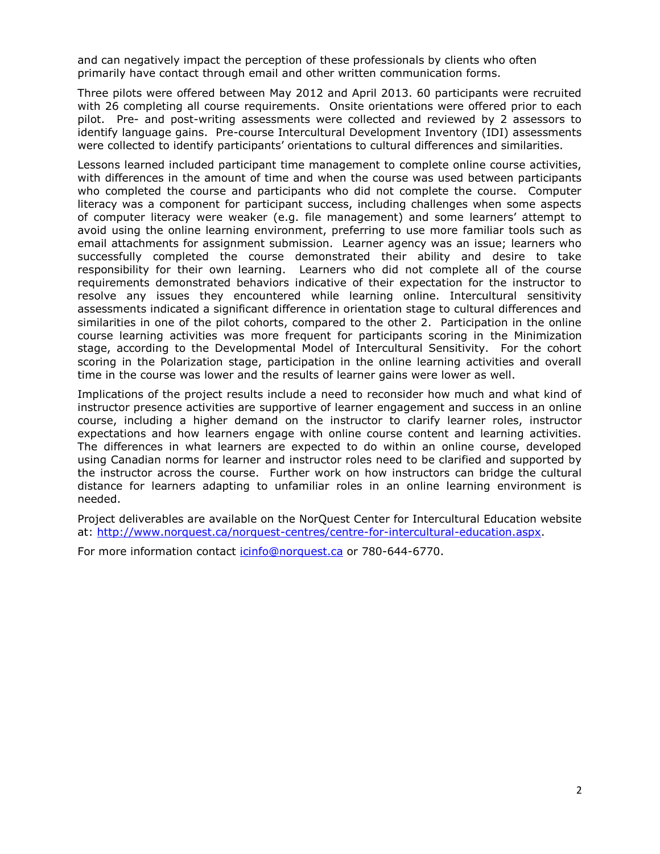and can negatively impact the perception of these professionals by clients who often primarily have contact through email and other written communication forms.

Three pilots were offered between May 2012 and April 2013. 60 participants were recruited with 26 completing all course requirements. Onsite orientations were offered prior to each pilot. Pre- and post-writing assessments were collected and reviewed by 2 assessors to identify language gains. Pre-course Intercultural Development Inventory (IDI) assessments were collected to identify participants' orientations to cultural differences and similarities.

Lessons learned included participant time management to complete online course activities, with differences in the amount of time and when the course was used between participants who completed the course and participants who did not complete the course. Computer literacy was a component for participant success, including challenges when some aspects of computer literacy were weaker (e.g. file management) and some learners' attempt to avoid using the online learning environment, preferring to use more familiar tools such as email attachments for assignment submission. Learner agency was an issue; learners who successfully completed the course demonstrated their ability and desire to take responsibility for their own learning. Learners who did not complete all of the course requirements demonstrated behaviors indicative of their expectation for the instructor to resolve any issues they encountered while learning online. Intercultural sensitivity assessments indicated a significant difference in orientation stage to cultural differences and similarities in one of the pilot cohorts, compared to the other 2. Participation in the online course learning activities was more frequent for participants scoring in the Minimization stage, according to the Developmental Model of Intercultural Sensitivity. For the cohort scoring in the Polarization stage, participation in the online learning activities and overall time in the course was lower and the results of learner gains were lower as well.

Implications of the project results include a need to reconsider how much and what kind of instructor presence activities are supportive of learner engagement and success in an online course, including a higher demand on the instructor to clarify learner roles, instructor expectations and how learners engage with online course content and learning activities. The differences in what learners are expected to do within an online course, developed using Canadian norms for learner and instructor roles need to be clarified and supported by the instructor across the course. Further work on how instructors can bridge the cultural distance for learners adapting to unfamiliar roles in an online learning environment is needed.

Project deliverables are available on the NorQuest Center for Intercultural Education website at: [http://www.norquest.ca/norquest-centres/centre-for-intercultural-education.aspx.](http://www.norquest.ca/norquest-centres/centre-for-intercultural-education.aspx)

For more information contact *icinfo@norquest.ca* or 780-644-6770.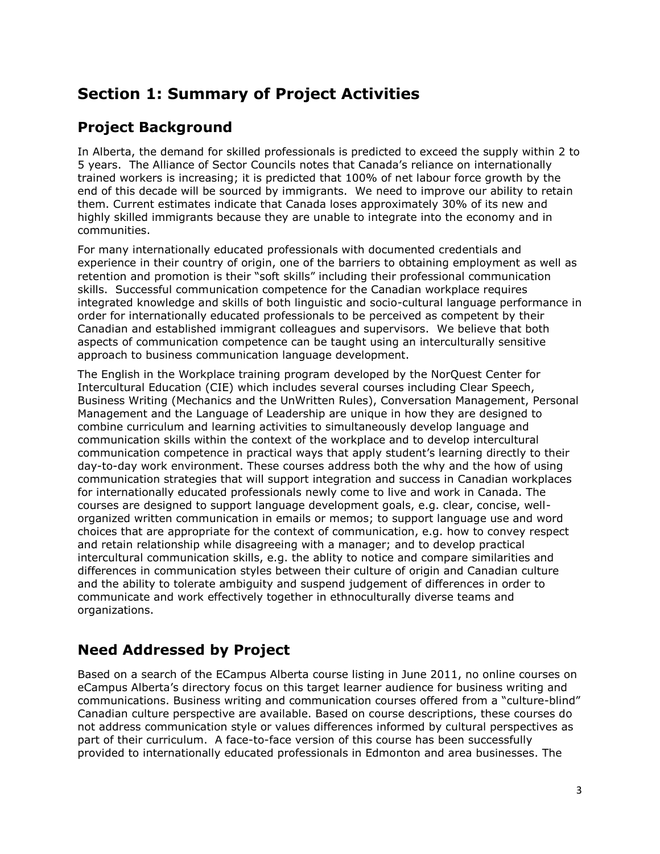# **Section 1: Summary of Project Activities**

## **Project Background**

In Alberta, the demand for skilled professionals is predicted to exceed the supply within 2 to 5 years. The Alliance of Sector Councils notes that Canada's reliance on internationally trained workers is increasing; it is predicted that 100% of net labour force growth by the end of this decade will be sourced by immigrants. We need to improve our ability to retain them. Current estimates indicate that Canada loses approximately 30% of its new and highly skilled immigrants because they are unable to integrate into the economy and in communities.

For many internationally educated professionals with documented credentials and experience in their country of origin, one of the barriers to obtaining employment as well as retention and promotion is their "soft skills" including their professional communication skills. Successful communication competence for the Canadian workplace requires integrated knowledge and skills of both linguistic and socio-cultural language performance in order for internationally educated professionals to be perceived as competent by their Canadian and established immigrant colleagues and supervisors. We believe that both aspects of communication competence can be taught using an interculturally sensitive approach to business communication language development.

The English in the Workplace training program developed by the NorQuest Center for Intercultural Education (CIE) which includes several courses including Clear Speech, Business Writing (Mechanics and the UnWritten Rules), Conversation Management, Personal Management and the Language of Leadership are unique in how they are designed to combine curriculum and learning activities to simultaneously develop language and communication skills within the context of the workplace and to develop intercultural communication competence in practical ways that apply student's learning directly to their day-to-day work environment. These courses address both the why and the how of using communication strategies that will support integration and success in Canadian workplaces for internationally educated professionals newly come to live and work in Canada. The courses are designed to support language development goals, e.g. clear, concise, wellorganized written communication in emails or memos; to support language use and word choices that are appropriate for the context of communication, e.g. how to convey respect and retain relationship while disagreeing with a manager; and to develop practical intercultural communication skills, e.g. the ablity to notice and compare similarities and differences in communication styles between their culture of origin and Canadian culture and the ability to tolerate ambiguity and suspend judgement of differences in order to communicate and work effectively together in ethnoculturally diverse teams and organizations.

# **Need Addressed by Project**

Based on a search of the ECampus Alberta course listing in June 2011, no online courses on eCampus Alberta's directory focus on this target learner audience for business writing and communications. Business writing and communication courses offered from a "culture-blind" Canadian culture perspective are available. Based on course descriptions, these courses do not address communication style or values differences informed by cultural perspectives as part of their curriculum. A face-to-face version of this course has been successfully provided to internationally educated professionals in Edmonton and area businesses. The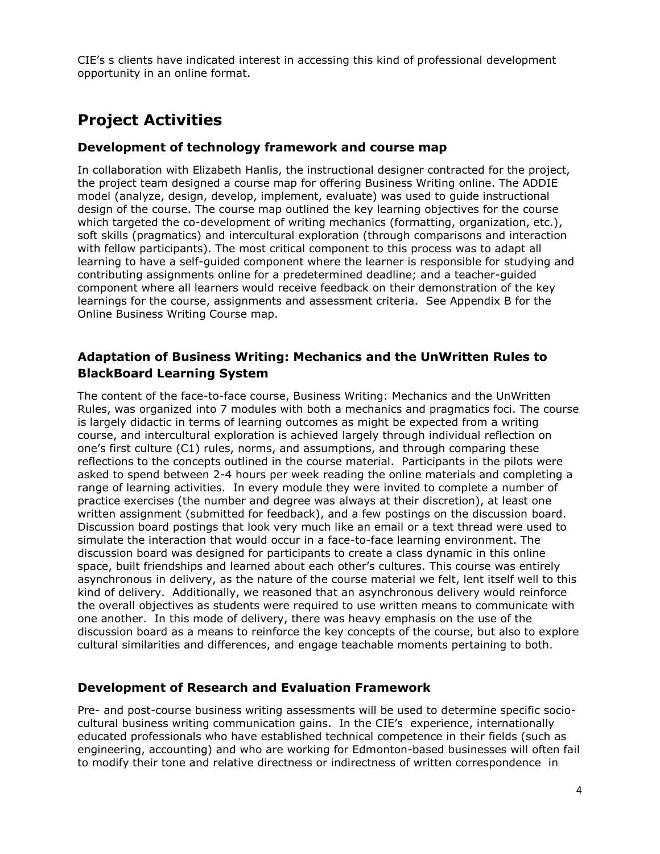CIE's s clients have indicated interest in accessing this kind of professional development opportunity in an online format.

# **Project Activities**

### **Development of technology framework and course map**

In collaboration with Elizabeth Hanlis, the instructional designer contracted for the project, the project team designed a course map for offering Business Writing online. The ADDIE model (analyze, design, develop, implement, evaluate) was used to guide instructional design of the course. The course map outlined the key learning objectives for the course which targeted the co-development of writing mechanics (formatting, organization, etc.), soft skills (pragmatics) and intercultural exploration (through comparisons and interaction with fellow participants). The most critical component to this process was to adapt all learning to have a self-guided component where the learner is responsible for studying and contributing assignments online for a predetermined deadline; and a teacher-guided component where all learners would receive feedback on their demonstration of the key learnings for the course, assignments and assessment criteria. See Appendix B for the Online Business Writing Course map.

### **Adaptation of Business Writing: Mechanics and the UnWritten Rules to BlackBoard Learning System**

The content of the face-to-face course, Business Writing: Mechanics and the UnWritten Rules, was organized into 7 modules with both a mechanics and pragmatics foci. The course is largely didactic in terms of learning outcomes as might be expected from a writing course, and intercultural exploration is achieved largely through individual reflection on one's first culture (C1) rules, norms, and assumptions, and through comparing these reflections to the concepts outlined in the course material. Participants in the pilots were asked to spend between 2-4 hours per week reading the online materials and completing a range of learning activities. In every module they were invited to complete a number of practice exercises (the number and degree was always at their discretion), at least one written assignment (submitted for feedback), and a few postings on the discussion board. Discussion board postings that look very much like an email or a text thread were used to simulate the interaction that would occur in a face-to-face learning environment. The discussion board was designed for participants to create a class dynamic in this online space, built friendships and learned about each other's cultures. This course was entirely asynchronous in delivery, as the nature of the course material we felt, lent itself well to this kind of delivery. Additionally, we reasoned that an asynchronous delivery would reinforce the overall objectives as students were required to use written means to communicate with one another. In this mode of delivery, there was heavy emphasis on the use of the discussion board as a means to reinforce the key concepts of the course, but also to explore cultural similarities and differences, and engage teachable moments pertaining to both.

### **Development of Research and Evaluation Framework**

Pre- and post-course business writing assessments will be used to determine specific sociocultural business writing communication gains. In the CIE's experience, internationally educated professionals who have established technical competence in their fields (such as engineering, accounting) and who are working for Edmonton-based businesses will often fail to modify their tone and relative directness or indirectness of written correspondence in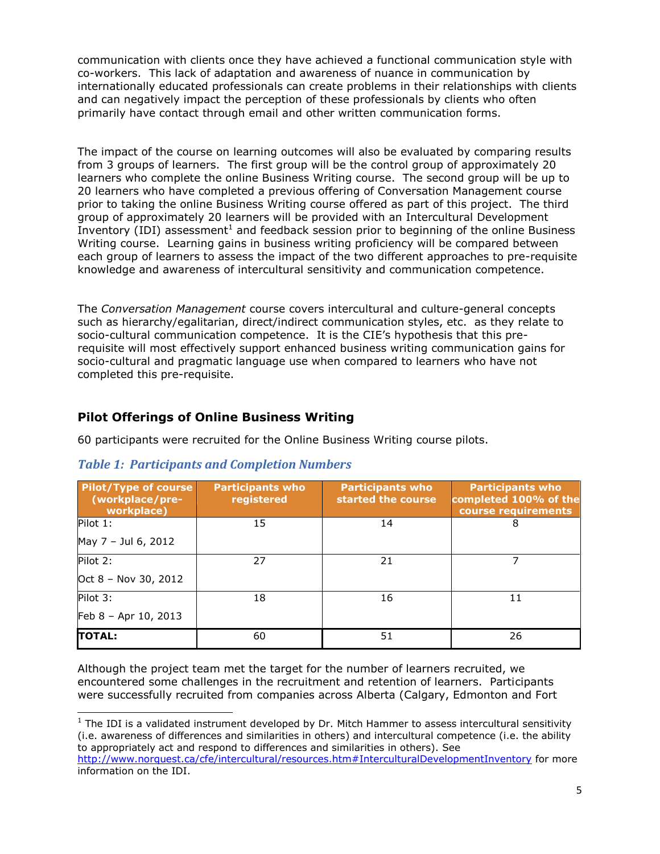communication with clients once they have achieved a functional communication style with co-workers. This lack of adaptation and awareness of nuance in communication by internationally educated professionals can create problems in their relationships with clients and can negatively impact the perception of these professionals by clients who often primarily have contact through email and other written communication forms.

The impact of the course on learning outcomes will also be evaluated by comparing results from 3 groups of learners. The first group will be the control group of approximately 20 learners who complete the online Business Writing course. The second group will be up to 20 learners who have completed a previous offering of Conversation Management course prior to taking the online Business Writing course offered as part of this project. The third group of approximately 20 learners will be provided with an Intercultural Development Inventory (IDI) assessment<sup>1</sup> and feedback session prior to beginning of the online Business Writing course. Learning gains in business writing proficiency will be compared between each group of learners to assess the impact of the two different approaches to pre-requisite knowledge and awareness of intercultural sensitivity and communication competence.

The *Conversation Management* course covers intercultural and culture-general concepts such as hierarchy/egalitarian, direct/indirect communication styles, etc. as they relate to socio-cultural communication competence. It is the CIE's hypothesis that this prerequisite will most effectively support enhanced business writing communication gains for socio-cultural and pragmatic language use when compared to learners who have not completed this pre-requisite.

### **Pilot Offerings of Online Business Writing**

60 participants were recruited for the Online Business Writing course pilots.

### *Table 1: Participants and Completion Numbers*

ł

| <b>Pilot/Type of course</b><br>(workplace/pre-<br>workplace) | <b>Participants who</b><br>registered | <b>Participants who</b><br>started the course | <b>Participants who</b><br>completed 100% of the<br>course requirements |
|--------------------------------------------------------------|---------------------------------------|-----------------------------------------------|-------------------------------------------------------------------------|
| Pilot 1:                                                     | 15                                    | 14                                            |                                                                         |
| May 7 - Jul 6, 2012                                          |                                       |                                               |                                                                         |
| Pilot 2:                                                     | 27                                    | 21                                            |                                                                         |
| Oct 8 - Nov 30, 2012                                         |                                       |                                               |                                                                         |
| Pilot 3:                                                     | 18                                    | 16                                            | 11                                                                      |
| Feb $8 -$ Apr 10, 2013                                       |                                       |                                               |                                                                         |
| TOTAL:                                                       | 60                                    | 51                                            | 26                                                                      |

Although the project team met the target for the number of learners recruited, we encountered some challenges in the recruitment and retention of learners. Participants were successfully recruited from companies across Alberta (Calgary, Edmonton and Fort

 $1$  The IDI is a validated instrument developed by Dr. Mitch Hammer to assess intercultural sensitivity (i.e. awareness of differences and similarities in others) and intercultural competence (i.e. the ability to appropriately act and respond to differences and similarities in others). See <http://www.norquest.ca/cfe/intercultural/resources.htm#InterculturalDevelopmentInventory> for more information on the IDI.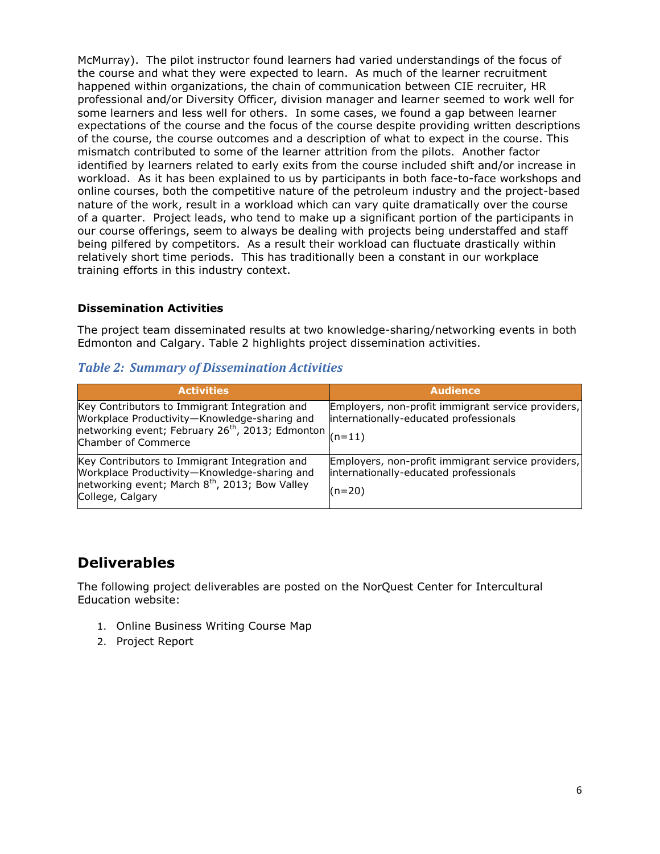McMurray). The pilot instructor found learners had varied understandings of the focus of the course and what they were expected to learn. As much of the learner recruitment happened within organizations, the chain of communication between CIE recruiter, HR professional and/or Diversity Officer, division manager and learner seemed to work well for some learners and less well for others. In some cases, we found a gap between learner expectations of the course and the focus of the course despite providing written descriptions of the course, the course outcomes and a description of what to expect in the course. This mismatch contributed to some of the learner attrition from the pilots. Another factor identified by learners related to early exits from the course included shift and/or increase in workload. As it has been explained to us by participants in both face-to-face workshops and online courses, both the competitive nature of the petroleum industry and the project-based nature of the work, result in a workload which can vary quite dramatically over the course of a quarter. Project leads, who tend to make up a significant portion of the participants in our course offerings, seem to always be dealing with projects being understaffed and staff being pilfered by competitors. As a result their workload can fluctuate drastically within relatively short time periods. This has traditionally been a constant in our workplace training efforts in this industry context.

#### **Dissemination Activities**

The project team disseminated results at two knowledge-sharing/networking events in both Edmonton and Calgary. Table 2 highlights project dissemination activities.

#### *Table 2: Summary of Dissemination Activities*

| <b>Activities</b>                                                                                                                                                                                                                   | <b>Audience</b>                                                                                          |
|-------------------------------------------------------------------------------------------------------------------------------------------------------------------------------------------------------------------------------------|----------------------------------------------------------------------------------------------------------|
| Key Contributors to Immigrant Integration and<br>Workplace Productivity-Knowledge-sharing and<br>$\left  \frac{1}{2} \right $ event; February 26 <sup>th</sup> , 2013; Edmonton $\left  \frac{1}{2} \right $<br>Chamber of Commerce | Employers, non-profit immigrant service providers,<br>internationally-educated professionals             |
| Key Contributors to Immigrant Integration and<br>Workplace Productivity-Knowledge-sharing and<br>networking event; March 8 <sup>th</sup> , 2013; Bow Valley<br>College, Calgary                                                     | Employers, non-profit immigrant service providers,<br>internationally-educated professionals<br>$(n=20)$ |

### **Deliverables**

The following project deliverables are posted on the NorQuest Center for Intercultural Education website:

- 1. Online Business Writing Course Map
- 2. Project Report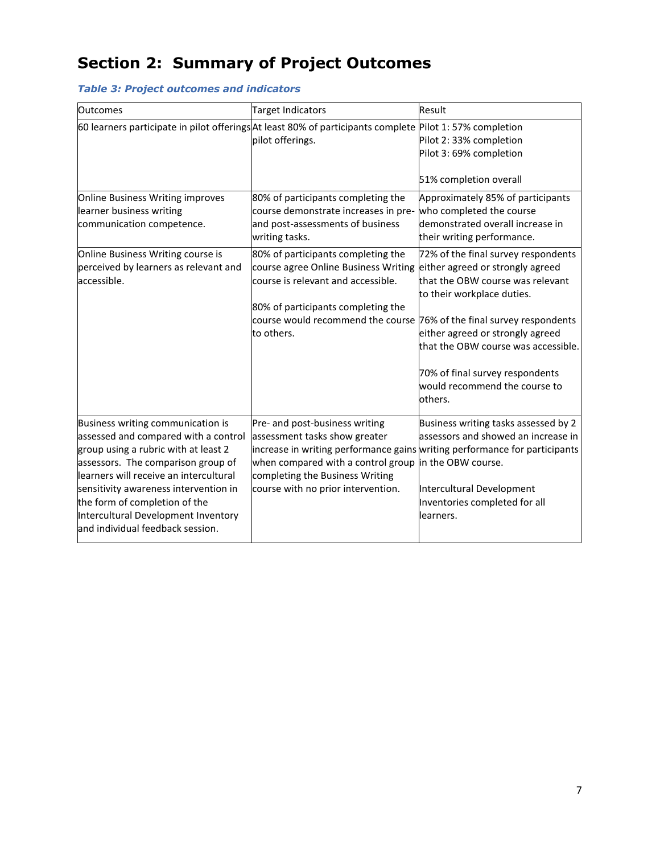# **Section 2: Summary of Project Outcomes**

### *Table 3: Project outcomes and indicators*

| <b>Outcomes</b>                                                                                                                                                                                                                                                                                                                                        | <b>Target Indicators</b>                                                                                                                                                                                                                                     | Result                                                                                                                                                                                                                                                                                              |
|--------------------------------------------------------------------------------------------------------------------------------------------------------------------------------------------------------------------------------------------------------------------------------------------------------------------------------------------------------|--------------------------------------------------------------------------------------------------------------------------------------------------------------------------------------------------------------------------------------------------------------|-----------------------------------------------------------------------------------------------------------------------------------------------------------------------------------------------------------------------------------------------------------------------------------------------------|
| 60 learners participate in pilot offerings At least 80% of participants complete Pilot 1: 57% completion                                                                                                                                                                                                                                               | pilot offerings.                                                                                                                                                                                                                                             | Pilot 2:33% completion<br>Pilot 3: 69% completion<br>51% completion overall                                                                                                                                                                                                                         |
| Online Business Writing improves<br>learner business writing<br>communication competence.                                                                                                                                                                                                                                                              | 80% of participants completing the<br>course demonstrate increases in pre-<br>and post-assessments of business<br>writing tasks.                                                                                                                             | Approximately 85% of participants<br>who completed the course<br>demonstrated overall increase in<br>their writing performance.                                                                                                                                                                     |
| Online Business Writing course is<br>perceived by learners as relevant and<br>accessible.                                                                                                                                                                                                                                                              | 80% of participants completing the<br>course agree Online Business Writing<br>course is relevant and accessible.<br>80% of participants completing the<br>course would recommend the course 76% of the final survey respondents<br>to others.                | 72% of the final survey respondents<br>either agreed or strongly agreed<br>that the OBW course was relevant<br>to their workplace duties.<br>either agreed or strongly agreed<br>that the OBW course was accessible.<br>70% of final survey respondents<br>would recommend the course to<br>others. |
| Business writing communication is<br>assessed and compared with a control<br>group using a rubric with at least 2<br>assessors. The comparison group of<br>learners will receive an intercultural<br>sensitivity awareness intervention in<br>the form of completion of the<br>Intercultural Development Inventory<br>and individual feedback session. | Pre- and post-business writing<br>assessment tasks show greater<br>increase in writing performance gains writing performance for participants<br>when compared with a control group<br>completing the Business Writing<br>course with no prior intervention. | Business writing tasks assessed by 2<br>assessors and showed an increase in<br>in the OBW course.<br>Intercultural Development<br>Inventories completed for all<br>learners.                                                                                                                        |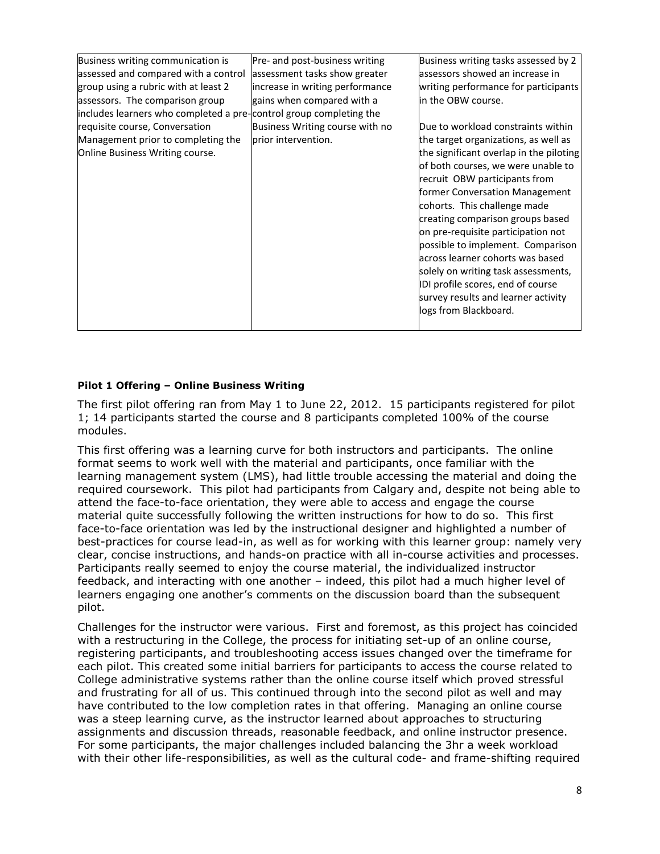| Business writing communication is                                  | Pre- and post-business writing  | Business writing tasks assessed by 2    |
|--------------------------------------------------------------------|---------------------------------|-----------------------------------------|
| assessed and compared with a control                               | assessment tasks show greater   | assessors showed an increase in         |
| group using a rubric with at least 2                               | increase in writing performance | writing performance for participants    |
| assessors. The comparison group                                    | gains when compared with a      | in the OBW course.                      |
| includes learners who completed a pre-control group completing the |                                 |                                         |
| requisite course, Conversation                                     | Business Writing course with no | Due to workload constraints within      |
| Management prior to completing the                                 | prior intervention.             | the target organizations, as well as    |
| Online Business Writing course.                                    |                                 | the significant overlap in the piloting |
|                                                                    |                                 | of both courses, we were unable to      |
|                                                                    |                                 | recruit OBW participants from           |
|                                                                    |                                 | former Conversation Management          |
|                                                                    |                                 | cohorts. This challenge made            |
|                                                                    |                                 | creating comparison groups based        |
|                                                                    |                                 | on pre-requisite participation not      |
|                                                                    |                                 | possible to implement. Comparison       |
|                                                                    |                                 | across learner cohorts was based        |
|                                                                    |                                 | solely on writing task assessments,     |
|                                                                    |                                 | IDI profile scores, end of course       |
|                                                                    |                                 | survey results and learner activity     |
|                                                                    |                                 | logs from Blackboard.                   |
|                                                                    |                                 |                                         |

#### **Pilot 1 Offering – Online Business Writing**

The first pilot offering ran from May 1 to June 22, 2012. 15 participants registered for pilot 1; 14 participants started the course and 8 participants completed 100% of the course modules.

This first offering was a learning curve for both instructors and participants. The online format seems to work well with the material and participants, once familiar with the learning management system (LMS), had little trouble accessing the material and doing the required coursework. This pilot had participants from Calgary and, despite not being able to attend the face-to-face orientation, they were able to access and engage the course material quite successfully following the written instructions for how to do so. This first face-to-face orientation was led by the instructional designer and highlighted a number of best-practices for course lead-in, as well as for working with this learner group: namely very clear, concise instructions, and hands-on practice with all in-course activities and processes. Participants really seemed to enjoy the course material, the individualized instructor feedback, and interacting with one another – indeed, this pilot had a much higher level of learners engaging one another's comments on the discussion board than the subsequent pilot.

Challenges for the instructor were various. First and foremost, as this project has coincided with a restructuring in the College, the process for initiating set-up of an online course, registering participants, and troubleshooting access issues changed over the timeframe for each pilot. This created some initial barriers for participants to access the course related to College administrative systems rather than the online course itself which proved stressful and frustrating for all of us. This continued through into the second pilot as well and may have contributed to the low completion rates in that offering. Managing an online course was a steep learning curve, as the instructor learned about approaches to structuring assignments and discussion threads, reasonable feedback, and online instructor presence. For some participants, the major challenges included balancing the 3hr a week workload with their other life-responsibilities, as well as the cultural code- and frame-shifting required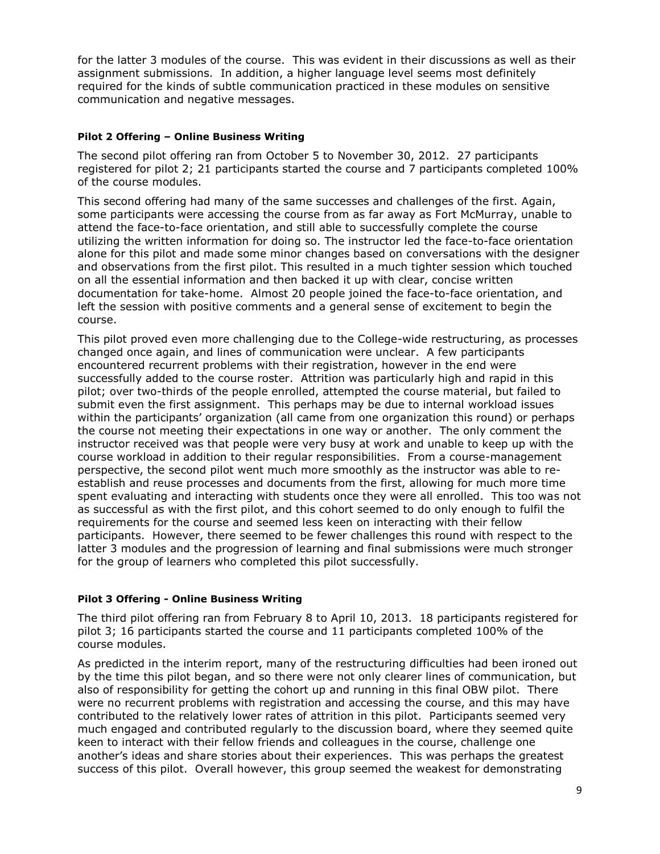for the latter 3 modules of the course. This was evident in their discussions as well as their assignment submissions. In addition, a higher language level seems most definitely required for the kinds of subtle communication practiced in these modules on sensitive communication and negative messages.

#### **Pilot 2 Offering – Online Business Writing**

The second pilot offering ran from October 5 to November 30, 2012. 27 participants registered for pilot 2; 21 participants started the course and 7 participants completed 100% of the course modules.

This second offering had many of the same successes and challenges of the first. Again, some participants were accessing the course from as far away as Fort McMurray, unable to attend the face-to-face orientation, and still able to successfully complete the course utilizing the written information for doing so. The instructor led the face-to-face orientation alone for this pilot and made some minor changes based on conversations with the designer and observations from the first pilot. This resulted in a much tighter session which touched on all the essential information and then backed it up with clear, concise written documentation for take-home. Almost 20 people joined the face-to-face orientation, and left the session with positive comments and a general sense of excitement to begin the course.

This pilot proved even more challenging due to the College-wide restructuring, as processes changed once again, and lines of communication were unclear. A few participants encountered recurrent problems with their registration, however in the end were successfully added to the course roster. Attrition was particularly high and rapid in this pilot; over two-thirds of the people enrolled, attempted the course material, but failed to submit even the first assignment. This perhaps may be due to internal workload issues within the participants' organization (all came from one organization this round) or perhaps the course not meeting their expectations in one way or another. The only comment the instructor received was that people were very busy at work and unable to keep up with the course workload in addition to their regular responsibilities. From a course-management perspective, the second pilot went much more smoothly as the instructor was able to reestablish and reuse processes and documents from the first, allowing for much more time spent evaluating and interacting with students once they were all enrolled. This too was not as successful as with the first pilot, and this cohort seemed to do only enough to fulfil the requirements for the course and seemed less keen on interacting with their fellow participants. However, there seemed to be fewer challenges this round with respect to the latter 3 modules and the progression of learning and final submissions were much stronger for the group of learners who completed this pilot successfully.

#### **Pilot 3 Offering - Online Business Writing**

The third pilot offering ran from February 8 to April 10, 2013. 18 participants registered for pilot 3; 16 participants started the course and 11 participants completed 100% of the course modules.

As predicted in the interim report, many of the restructuring difficulties had been ironed out by the time this pilot began, and so there were not only clearer lines of communication, but also of responsibility for getting the cohort up and running in this final OBW pilot. There were no recurrent problems with registration and accessing the course, and this may have contributed to the relatively lower rates of attrition in this pilot. Participants seemed very much engaged and contributed regularly to the discussion board, where they seemed quite keen to interact with their fellow friends and colleagues in the course, challenge one another's ideas and share stories about their experiences. This was perhaps the greatest success of this pilot. Overall however, this group seemed the weakest for demonstrating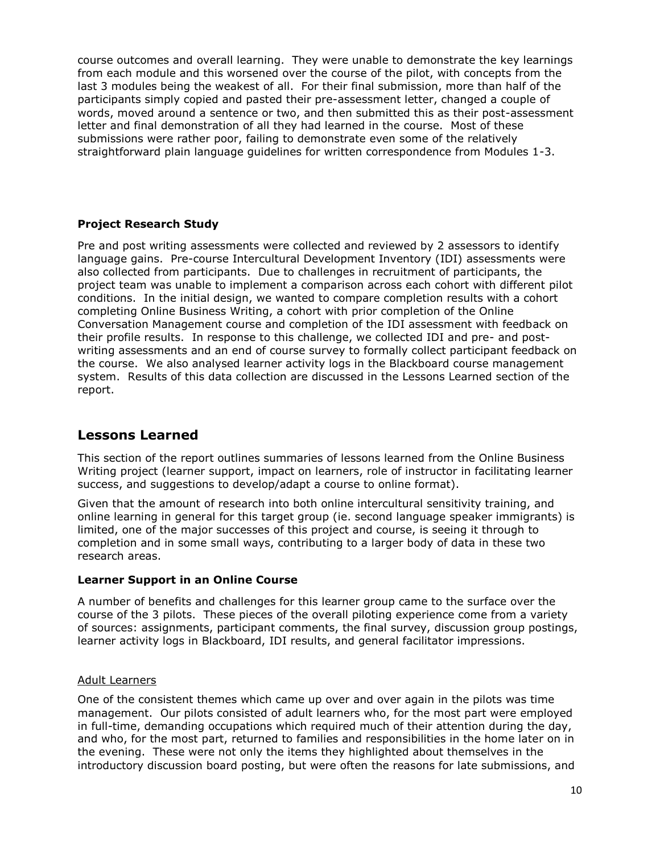course outcomes and overall learning. They were unable to demonstrate the key learnings from each module and this worsened over the course of the pilot, with concepts from the last 3 modules being the weakest of all. For their final submission, more than half of the participants simply copied and pasted their pre-assessment letter, changed a couple of words, moved around a sentence or two, and then submitted this as their post-assessment letter and final demonstration of all they had learned in the course. Most of these submissions were rather poor, failing to demonstrate even some of the relatively straightforward plain language guidelines for written correspondence from Modules 1-3.

#### **Project Research Study**

Pre and post writing assessments were collected and reviewed by 2 assessors to identify language gains. Pre-course Intercultural Development Inventory (IDI) assessments were also collected from participants. Due to challenges in recruitment of participants, the project team was unable to implement a comparison across each cohort with different pilot conditions. In the initial design, we wanted to compare completion results with a cohort completing Online Business Writing, a cohort with prior completion of the Online Conversation Management course and completion of the IDI assessment with feedback on their profile results. In response to this challenge, we collected IDI and pre- and postwriting assessments and an end of course survey to formally collect participant feedback on the course. We also analysed learner activity logs in the Blackboard course management system. Results of this data collection are discussed in the Lessons Learned section of the report.

### **Lessons Learned**

This section of the report outlines summaries of lessons learned from the Online Business Writing project (learner support, impact on learners, role of instructor in facilitating learner success, and suggestions to develop/adapt a course to online format).

Given that the amount of research into both online intercultural sensitivity training, and online learning in general for this target group (ie. second language speaker immigrants) is limited, one of the major successes of this project and course, is seeing it through to completion and in some small ways, contributing to a larger body of data in these two research areas.

#### **Learner Support in an Online Course**

A number of benefits and challenges for this learner group came to the surface over the course of the 3 pilots. These pieces of the overall piloting experience come from a variety of sources: assignments, participant comments, the final survey, discussion group postings, learner activity logs in Blackboard, IDI results, and general facilitator impressions.

#### Adult Learners

One of the consistent themes which came up over and over again in the pilots was time management. Our pilots consisted of adult learners who, for the most part were employed in full-time, demanding occupations which required much of their attention during the day, and who, for the most part, returned to families and responsibilities in the home later on in the evening. These were not only the items they highlighted about themselves in the introductory discussion board posting, but were often the reasons for late submissions, and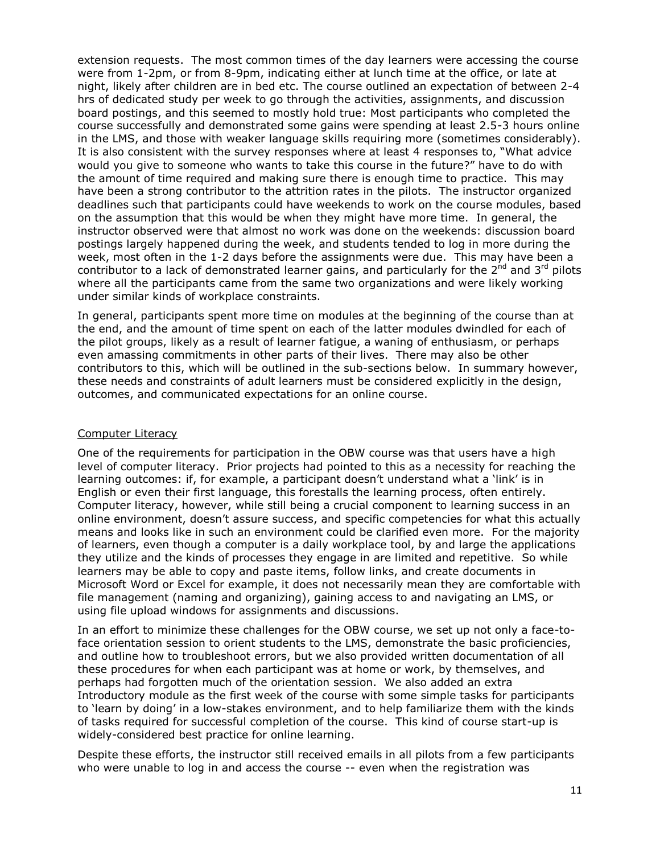extension requests. The most common times of the day learners were accessing the course were from 1-2pm, or from 8-9pm, indicating either at lunch time at the office, or late at night, likely after children are in bed etc. The course outlined an expectation of between 2-4 hrs of dedicated study per week to go through the activities, assignments, and discussion board postings, and this seemed to mostly hold true: Most participants who completed the course successfully and demonstrated some gains were spending at least 2.5-3 hours online in the LMS, and those with weaker language skills requiring more (sometimes considerably). It is also consistent with the survey responses where at least 4 responses to, "What advice would you give to someone who wants to take this course in the future?" have to do with the amount of time required and making sure there is enough time to practice. This may have been a strong contributor to the attrition rates in the pilots. The instructor organized deadlines such that participants could have weekends to work on the course modules, based on the assumption that this would be when they might have more time. In general, the instructor observed were that almost no work was done on the weekends: discussion board postings largely happened during the week, and students tended to log in more during the week, most often in the 1-2 days before the assignments were due. This may have been a contributor to a lack of demonstrated learner gains, and particularly for the  $2^{nd}$  and  $3^{rd}$  pilots where all the participants came from the same two organizations and were likely working under similar kinds of workplace constraints.

In general, participants spent more time on modules at the beginning of the course than at the end, and the amount of time spent on each of the latter modules dwindled for each of the pilot groups, likely as a result of learner fatigue, a waning of enthusiasm, or perhaps even amassing commitments in other parts of their lives. There may also be other contributors to this, which will be outlined in the sub-sections below. In summary however, these needs and constraints of adult learners must be considered explicitly in the design, outcomes, and communicated expectations for an online course.

#### Computer Literacy

One of the requirements for participation in the OBW course was that users have a high level of computer literacy. Prior projects had pointed to this as a necessity for reaching the learning outcomes: if, for example, a participant doesn't understand what a 'link' is in English or even their first language, this forestalls the learning process, often entirely. Computer literacy, however, while still being a crucial component to learning success in an online environment, doesn't assure success, and specific competencies for what this actually means and looks like in such an environment could be clarified even more. For the majority of learners, even though a computer is a daily workplace tool, by and large the applications they utilize and the kinds of processes they engage in are limited and repetitive. So while learners may be able to copy and paste items, follow links, and create documents in Microsoft Word or Excel for example, it does not necessarily mean they are comfortable with file management (naming and organizing), gaining access to and navigating an LMS, or using file upload windows for assignments and discussions.

In an effort to minimize these challenges for the OBW course, we set up not only a face-toface orientation session to orient students to the LMS, demonstrate the basic proficiencies, and outline how to troubleshoot errors, but we also provided written documentation of all these procedures for when each participant was at home or work, by themselves, and perhaps had forgotten much of the orientation session. We also added an extra Introductory module as the first week of the course with some simple tasks for participants to 'learn by doing' in a low-stakes environment, and to help familiarize them with the kinds of tasks required for successful completion of the course. This kind of course start-up is widely-considered best practice for online learning.

Despite these efforts, the instructor still received emails in all pilots from a few participants who were unable to log in and access the course -- even when the registration was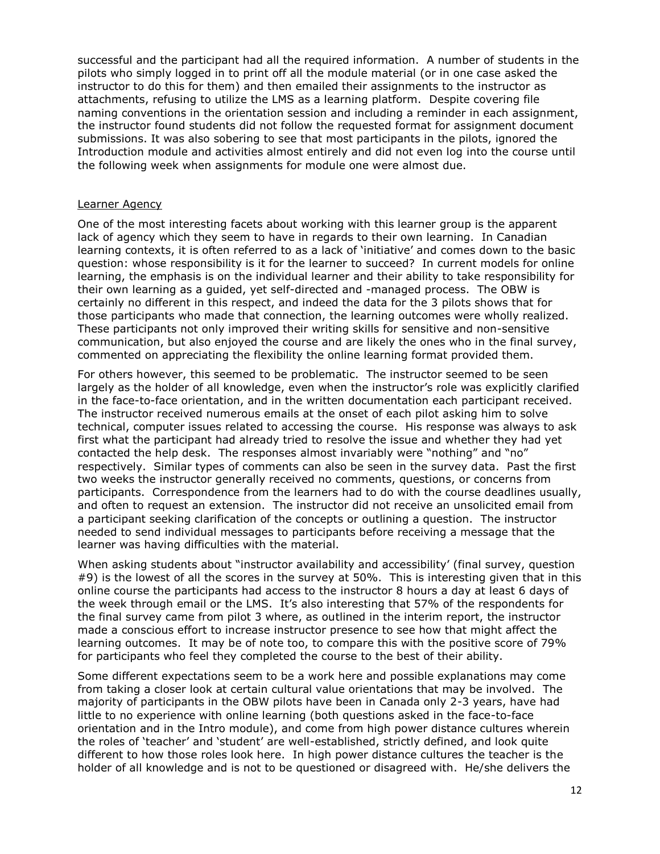successful and the participant had all the required information. A number of students in the pilots who simply logged in to print off all the module material (or in one case asked the instructor to do this for them) and then emailed their assignments to the instructor as attachments, refusing to utilize the LMS as a learning platform. Despite covering file naming conventions in the orientation session and including a reminder in each assignment, the instructor found students did not follow the requested format for assignment document submissions. It was also sobering to see that most participants in the pilots, ignored the Introduction module and activities almost entirely and did not even log into the course until the following week when assignments for module one were almost due.

#### Learner Agency

One of the most interesting facets about working with this learner group is the apparent lack of agency which they seem to have in regards to their own learning. In Canadian learning contexts, it is often referred to as a lack of 'initiative' and comes down to the basic question: whose responsibility is it for the learner to succeed? In current models for online learning, the emphasis is on the individual learner and their ability to take responsibility for their own learning as a guided, yet self-directed and -managed process. The OBW is certainly no different in this respect, and indeed the data for the 3 pilots shows that for those participants who made that connection, the learning outcomes were wholly realized. These participants not only improved their writing skills for sensitive and non-sensitive communication, but also enjoyed the course and are likely the ones who in the final survey, commented on appreciating the flexibility the online learning format provided them.

For others however, this seemed to be problematic. The instructor seemed to be seen largely as the holder of all knowledge, even when the instructor's role was explicitly clarified in the face-to-face orientation, and in the written documentation each participant received. The instructor received numerous emails at the onset of each pilot asking him to solve technical, computer issues related to accessing the course. His response was always to ask first what the participant had already tried to resolve the issue and whether they had yet contacted the help desk. The responses almost invariably were "nothing" and "no" respectively. Similar types of comments can also be seen in the survey data. Past the first two weeks the instructor generally received no comments, questions, or concerns from participants. Correspondence from the learners had to do with the course deadlines usually, and often to request an extension. The instructor did not receive an unsolicited email from a participant seeking clarification of the concepts or outlining a question. The instructor needed to send individual messages to participants before receiving a message that the learner was having difficulties with the material.

When asking students about "instructor availability and accessibility' (final survey, question #9) is the lowest of all the scores in the survey at 50%. This is interesting given that in this online course the participants had access to the instructor 8 hours a day at least 6 days of the week through email or the LMS. It's also interesting that 57% of the respondents for the final survey came from pilot 3 where, as outlined in the interim report, the instructor made a conscious effort to increase instructor presence to see how that might affect the learning outcomes. It may be of note too, to compare this with the positive score of 79% for participants who feel they completed the course to the best of their ability.

Some different expectations seem to be a work here and possible explanations may come from taking a closer look at certain cultural value orientations that may be involved. The majority of participants in the OBW pilots have been in Canada only 2-3 years, have had little to no experience with online learning (both questions asked in the face-to-face orientation and in the Intro module), and come from high power distance cultures wherein the roles of 'teacher' and 'student' are well-established, strictly defined, and look quite different to how those roles look here. In high power distance cultures the teacher is the holder of all knowledge and is not to be questioned or disagreed with. He/she delivers the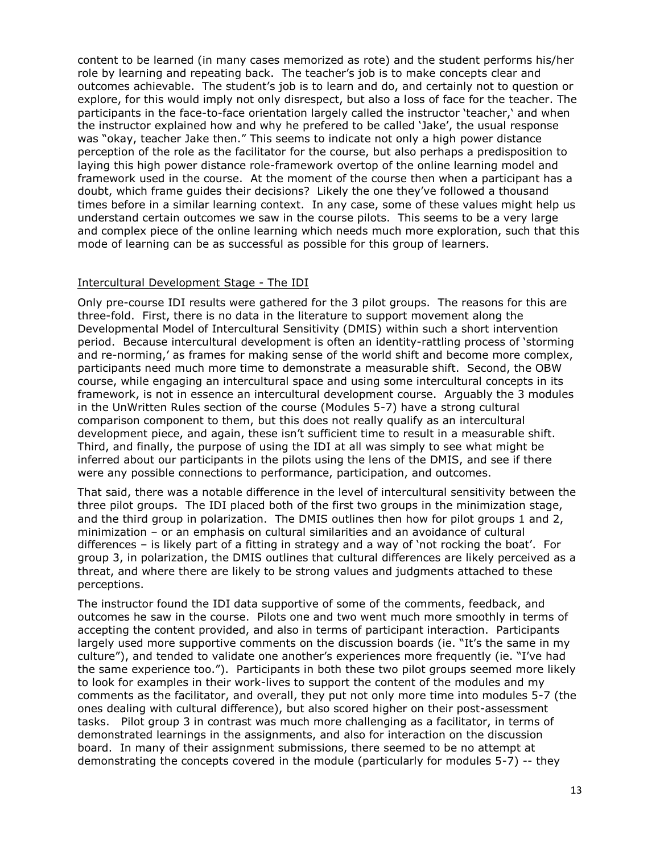content to be learned (in many cases memorized as rote) and the student performs his/her role by learning and repeating back. The teacher's job is to make concepts clear and outcomes achievable. The student's job is to learn and do, and certainly not to question or explore, for this would imply not only disrespect, but also a loss of face for the teacher. The participants in the face-to-face orientation largely called the instructor 'teacher,' and when the instructor explained how and why he prefered to be called 'Jake', the usual response was "okay, teacher Jake then." This seems to indicate not only a high power distance perception of the role as the facilitator for the course, but also perhaps a predisposition to laying this high power distance role-framework overtop of the online learning model and framework used in the course. At the moment of the course then when a participant has a doubt, which frame guides their decisions? Likely the one they've followed a thousand times before in a similar learning context. In any case, some of these values might help us understand certain outcomes we saw in the course pilots. This seems to be a very large and complex piece of the online learning which needs much more exploration, such that this mode of learning can be as successful as possible for this group of learners.

#### Intercultural Development Stage - The IDI

Only pre-course IDI results were gathered for the 3 pilot groups. The reasons for this are three-fold. First, there is no data in the literature to support movement along the Developmental Model of Intercultural Sensitivity (DMIS) within such a short intervention period. Because intercultural development is often an identity-rattling process of 'storming and re-norming,' as frames for making sense of the world shift and become more complex, participants need much more time to demonstrate a measurable shift. Second, the OBW course, while engaging an intercultural space and using some intercultural concepts in its framework, is not in essence an intercultural development course. Arguably the 3 modules in the UnWritten Rules section of the course (Modules 5-7) have a strong cultural comparison component to them, but this does not really qualify as an intercultural development piece, and again, these isn't sufficient time to result in a measurable shift. Third, and finally, the purpose of using the IDI at all was simply to see what might be inferred about our participants in the pilots using the lens of the DMIS, and see if there were any possible connections to performance, participation, and outcomes.

That said, there was a notable difference in the level of intercultural sensitivity between the three pilot groups. The IDI placed both of the first two groups in the minimization stage, and the third group in polarization. The DMIS outlines then how for pilot groups 1 and 2, minimization – or an emphasis on cultural similarities and an avoidance of cultural differences – is likely part of a fitting in strategy and a way of 'not rocking the boat'. For group 3, in polarization, the DMIS outlines that cultural differences are likely perceived as a threat, and where there are likely to be strong values and judgments attached to these perceptions.

The instructor found the IDI data supportive of some of the comments, feedback, and outcomes he saw in the course. Pilots one and two went much more smoothly in terms of accepting the content provided, and also in terms of participant interaction. Participants largely used more supportive comments on the discussion boards (ie. "It's the same in my culture"), and tended to validate one another's experiences more frequently (ie. "I've had the same experience too."). Participants in both these two pilot groups seemed more likely to look for examples in their work-lives to support the content of the modules and my comments as the facilitator, and overall, they put not only more time into modules 5-7 (the ones dealing with cultural difference), but also scored higher on their post-assessment tasks. Pilot group 3 in contrast was much more challenging as a facilitator, in terms of demonstrated learnings in the assignments, and also for interaction on the discussion board. In many of their assignment submissions, there seemed to be no attempt at demonstrating the concepts covered in the module (particularly for modules 5-7) -- they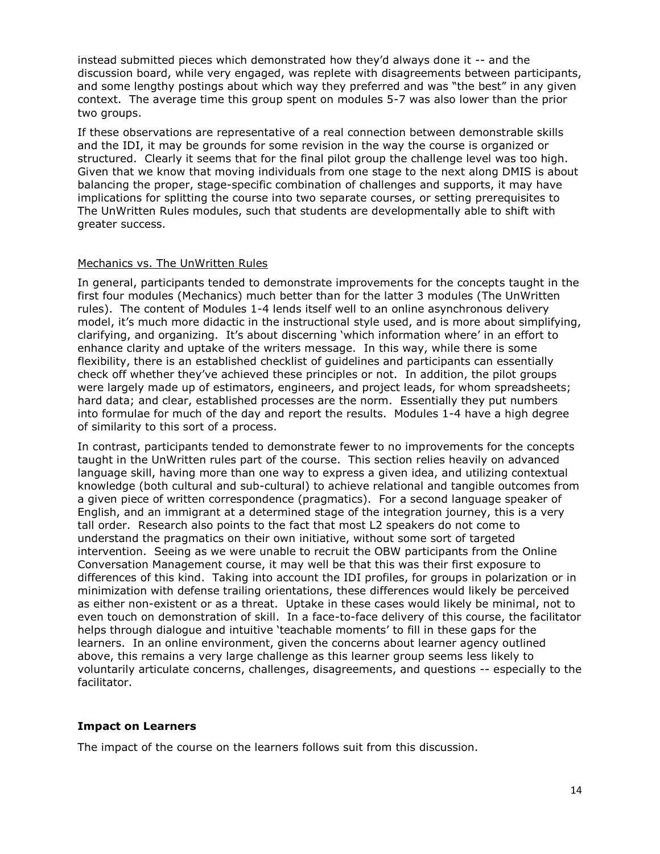instead submitted pieces which demonstrated how they'd always done it -- and the discussion board, while very engaged, was replete with disagreements between participants, and some lengthy postings about which way they preferred and was "the best" in any given context. The average time this group spent on modules 5-7 was also lower than the prior two groups.

If these observations are representative of a real connection between demonstrable skills and the IDI, it may be grounds for some revision in the way the course is organized or structured. Clearly it seems that for the final pilot group the challenge level was too high. Given that we know that moving individuals from one stage to the next along DMIS is about balancing the proper, stage-specific combination of challenges and supports, it may have implications for splitting the course into two separate courses, or setting prerequisites to The UnWritten Rules modules, such that students are developmentally able to shift with greater success.

#### Mechanics vs. The UnWritten Rules

In general, participants tended to demonstrate improvements for the concepts taught in the first four modules (Mechanics) much better than for the latter 3 modules (The UnWritten rules). The content of Modules 1-4 lends itself well to an online asynchronous delivery model, it's much more didactic in the instructional style used, and is more about simplifying, clarifying, and organizing. It's about discerning 'which information where' in an effort to enhance clarity and uptake of the writers message. In this way, while there is some flexibility, there is an established checklist of guidelines and participants can essentially check off whether they've achieved these principles or not. In addition, the pilot groups were largely made up of estimators, engineers, and project leads, for whom spreadsheets; hard data; and clear, established processes are the norm. Essentially they put numbers into formulae for much of the day and report the results. Modules 1-4 have a high degree of similarity to this sort of a process.

In contrast, participants tended to demonstrate fewer to no improvements for the concepts taught in the UnWritten rules part of the course. This section relies heavily on advanced language skill, having more than one way to express a given idea, and utilizing contextual knowledge (both cultural and sub-cultural) to achieve relational and tangible outcomes from a given piece of written correspondence (pragmatics). For a second language speaker of English, and an immigrant at a determined stage of the integration journey, this is a very tall order. Research also points to the fact that most L2 speakers do not come to understand the pragmatics on their own initiative, without some sort of targeted intervention. Seeing as we were unable to recruit the OBW participants from the Online Conversation Management course, it may well be that this was their first exposure to differences of this kind. Taking into account the IDI profiles, for groups in polarization or in minimization with defense trailing orientations, these differences would likely be perceived as either non-existent or as a threat. Uptake in these cases would likely be minimal, not to even touch on demonstration of skill. In a face-to-face delivery of this course, the facilitator helps through dialogue and intuitive 'teachable moments' to fill in these gaps for the learners. In an online environment, given the concerns about learner agency outlined above, this remains a very large challenge as this learner group seems less likely to voluntarily articulate concerns, challenges, disagreements, and questions -- especially to the facilitator.

#### **Impact on Learners**

The impact of the course on the learners follows suit from this discussion.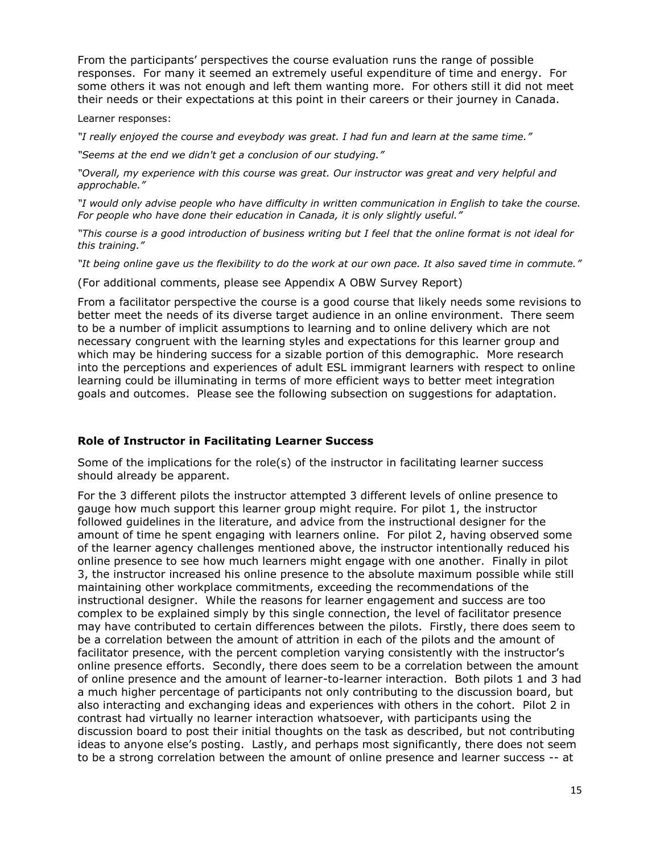From the participants' perspectives the course evaluation runs the range of possible responses. For many it seemed an extremely useful expenditure of time and energy. For some others it was not enough and left them wanting more. For others still it did not meet their needs or their expectations at this point in their careers or their journey in Canada.

Learner responses:

*"I really enjoyed the course and eveybody was great. I had fun and learn at the same time."*

*"Seems at the end we didn't get a conclusion of our studying."*

*"Overall, my experience with this course was great. Our instructor was great and very helpful and approchable."*

*"I would only advise people who have difficulty in written communication in English to take the course. For people who have done their education in Canada, it is only slightly useful."*

*"This course is a good introduction of business writing but I feel that the online format is not ideal for this training."*

*"It being online gave us the flexibility to do the work at our own pace. It also saved time in commute."*

(For additional comments, please see Appendix A OBW Survey Report)

From a facilitator perspective the course is a good course that likely needs some revisions to better meet the needs of its diverse target audience in an online environment. There seem to be a number of implicit assumptions to learning and to online delivery which are not necessary congruent with the learning styles and expectations for this learner group and which may be hindering success for a sizable portion of this demographic. More research into the perceptions and experiences of adult ESL immigrant learners with respect to online learning could be illuminating in terms of more efficient ways to better meet integration goals and outcomes. Please see the following subsection on suggestions for adaptation.

#### **Role of Instructor in Facilitating Learner Success**

Some of the implications for the role(s) of the instructor in facilitating learner success should already be apparent.

For the 3 different pilots the instructor attempted 3 different levels of online presence to gauge how much support this learner group might require. For pilot 1, the instructor followed guidelines in the literature, and advice from the instructional designer for the amount of time he spent engaging with learners online. For pilot 2, having observed some of the learner agency challenges mentioned above, the instructor intentionally reduced his online presence to see how much learners might engage with one another. Finally in pilot 3, the instructor increased his online presence to the absolute maximum possible while still maintaining other workplace commitments, exceeding the recommendations of the instructional designer. While the reasons for learner engagement and success are too complex to be explained simply by this single connection, the level of facilitator presence may have contributed to certain differences between the pilots. Firstly, there does seem to be a correlation between the amount of attrition in each of the pilots and the amount of facilitator presence, with the percent completion varying consistently with the instructor's online presence efforts. Secondly, there does seem to be a correlation between the amount of online presence and the amount of learner-to-learner interaction. Both pilots 1 and 3 had a much higher percentage of participants not only contributing to the discussion board, but also interacting and exchanging ideas and experiences with others in the cohort. Pilot 2 in contrast had virtually no learner interaction whatsoever, with participants using the discussion board to post their initial thoughts on the task as described, but not contributing ideas to anyone else's posting. Lastly, and perhaps most significantly, there does not seem to be a strong correlation between the amount of online presence and learner success -- at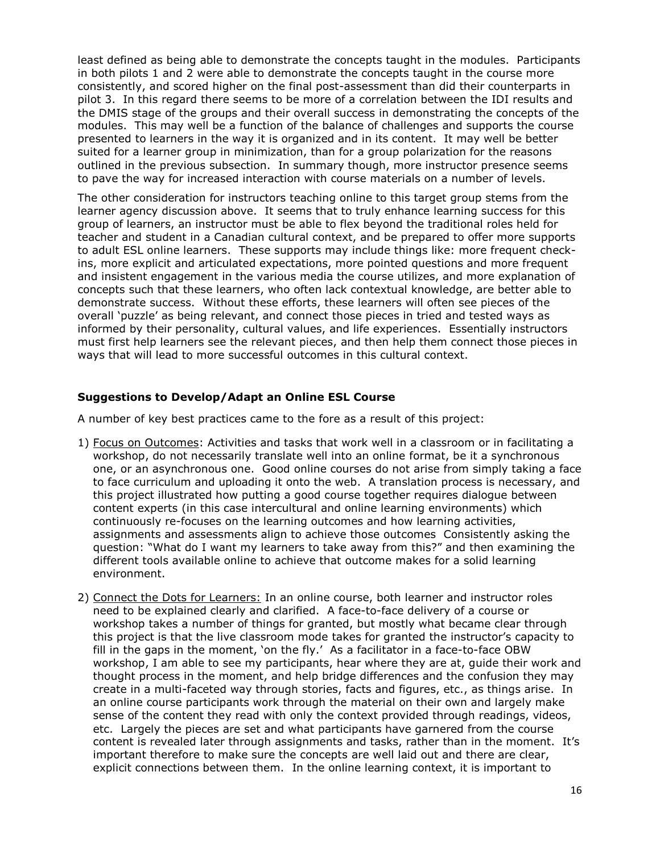least defined as being able to demonstrate the concepts taught in the modules. Participants in both pilots 1 and 2 were able to demonstrate the concepts taught in the course more consistently, and scored higher on the final post-assessment than did their counterparts in pilot 3. In this regard there seems to be more of a correlation between the IDI results and the DMIS stage of the groups and their overall success in demonstrating the concepts of the modules. This may well be a function of the balance of challenges and supports the course presented to learners in the way it is organized and in its content. It may well be better suited for a learner group in minimization, than for a group polarization for the reasons outlined in the previous subsection. In summary though, more instructor presence seems to pave the way for increased interaction with course materials on a number of levels.

The other consideration for instructors teaching online to this target group stems from the learner agency discussion above. It seems that to truly enhance learning success for this group of learners, an instructor must be able to flex beyond the traditional roles held for teacher and student in a Canadian cultural context, and be prepared to offer more supports to adult ESL online learners. These supports may include things like: more frequent checkins, more explicit and articulated expectations, more pointed questions and more frequent and insistent engagement in the various media the course utilizes, and more explanation of concepts such that these learners, who often lack contextual knowledge, are better able to demonstrate success. Without these efforts, these learners will often see pieces of the overall 'puzzle' as being relevant, and connect those pieces in tried and tested ways as informed by their personality, cultural values, and life experiences. Essentially instructors must first help learners see the relevant pieces, and then help them connect those pieces in ways that will lead to more successful outcomes in this cultural context.

#### **Suggestions to Develop/Adapt an Online ESL Course**

A number of key best practices came to the fore as a result of this project:

- 1) Focus on Outcomes: Activities and tasks that work well in a classroom or in facilitating a workshop, do not necessarily translate well into an online format, be it a synchronous one, or an asynchronous one. Good online courses do not arise from simply taking a face to face curriculum and uploading it onto the web. A translation process is necessary, and this project illustrated how putting a good course together requires dialogue between content experts (in this case intercultural and online learning environments) which continuously re-focuses on the learning outcomes and how learning activities, assignments and assessments align to achieve those outcomes Consistently asking the question: "What do I want my learners to take away from this?" and then examining the different tools available online to achieve that outcome makes for a solid learning environment.
- 2) Connect the Dots for Learners: In an online course, both learner and instructor roles need to be explained clearly and clarified. A face-to-face delivery of a course or workshop takes a number of things for granted, but mostly what became clear through this project is that the live classroom mode takes for granted the instructor's capacity to fill in the gaps in the moment, 'on the fly.' As a facilitator in a face-to-face OBW workshop, I am able to see my participants, hear where they are at, guide their work and thought process in the moment, and help bridge differences and the confusion they may create in a multi-faceted way through stories, facts and figures, etc., as things arise. In an online course participants work through the material on their own and largely make sense of the content they read with only the context provided through readings, videos, etc. Largely the pieces are set and what participants have garnered from the course content is revealed later through assignments and tasks, rather than in the moment. It's important therefore to make sure the concepts are well laid out and there are clear, explicit connections between them. In the online learning context, it is important to